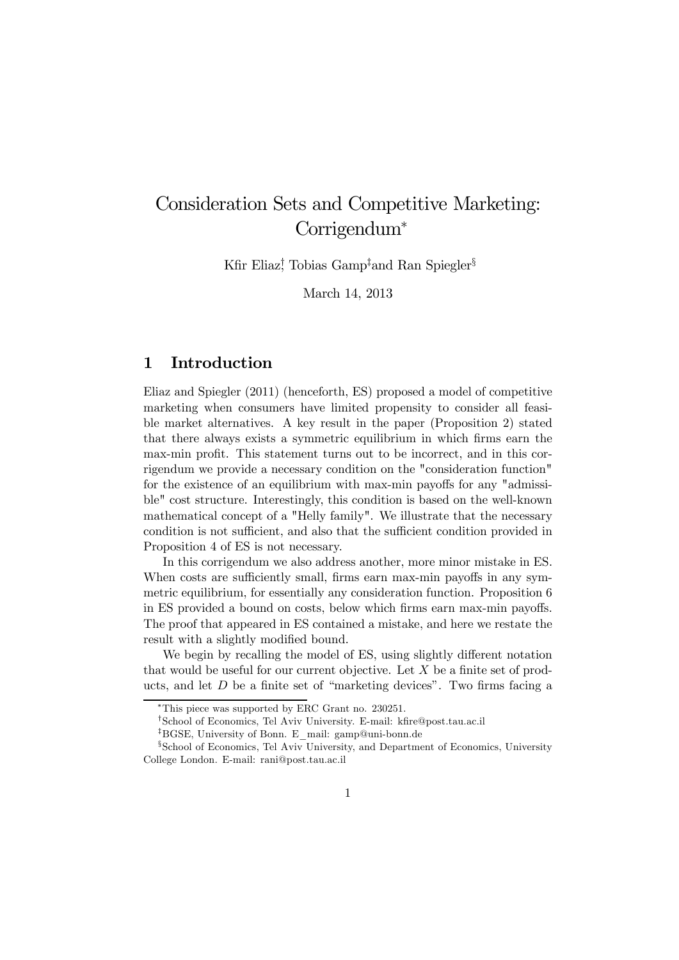# Consideration Sets and Competitive Marketing: Corrigendum<sup>∗</sup>

Kfir Eliaz<sup>†</sup>, Tobias Gamp<sup>‡</sup>and Ran Spiegler<sup>§</sup>

March 14, 2013

## 1 Introduction

Eliaz and Spiegler (2011) (henceforth, ES) proposed a model of competitive marketing when consumers have limited propensity to consider all feasible market alternatives. A key result in the paper (Proposition 2) stated that there always exists a symmetric equilibrium in which firms earn the max-min profit. This statement turns out to be incorrect, and in this corrigendum we provide a necessary condition on the "consideration function" for the existence of an equilibrium with max-min payoffs for any "admissible" cost structure. Interestingly, this condition is based on the well-known mathematical concept of a "Helly family". We illustrate that the necessary condition is not sufficient, and also that the sufficient condition provided in Proposition 4 of ES is not necessary.

In this corrigendum we also address another, more minor mistake in ES. When costs are sufficiently small, firms earn max-min payoffs in any symmetric equilibrium, for essentially any consideration function. Proposition 6 in ES provided a bound on costs, below which firms earn max-min payoffs. The proof that appeared in ES contained a mistake, and here we restate the result with a slightly modified bound.

We begin by recalling the model of ES, using slightly different notation that would be useful for our current objective. Let  $X$  be a finite set of products, and let D be a finite set of "marketing devices". Two firms facing a

<sup>∗</sup>This piece was supported by ERC Grant no. 230251.

<sup>†</sup>School of Economics, Tel Aviv University. E-mail: kfire@post.tau.ac.il

<sup>‡</sup>BGSE, University of Bonn. E\_mail: gamp@uni-bonn.de

<sup>§</sup>School of Economics, Tel Aviv University, and Department of Economics, University College London. E-mail: rani@post.tau.ac.il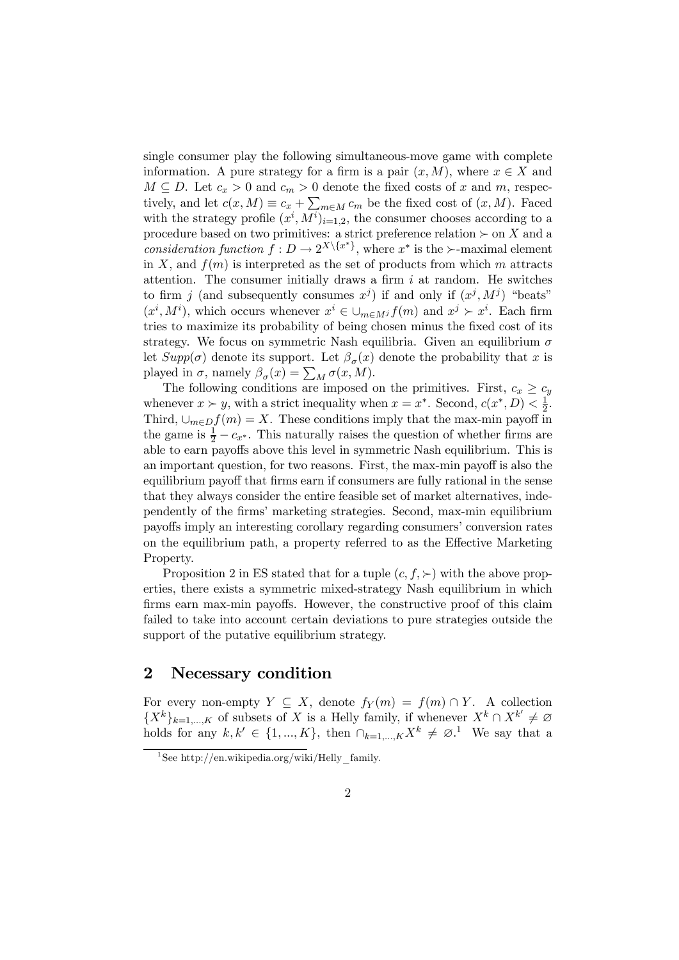single consumer play the following simultaneous-move game with complete information. A pure strategy for a firm is a pair  $(x, M)$ , where  $x \in X$  and  $M \subseteq D$ . Let  $c_x > 0$  and  $c_m > 0$  denote the fixed costs of x and m, respectively, and let  $c(x, M) \equiv c_x + \sum_{m \in M} c_m$  be the fixed cost of  $(x, M)$ . Faced with the strategy profile  $(x^i, M^i)_{i=1,2}$ , the consumer chooses according to a procedure based on two primitives: a strict preference relation  $\succ$  on X and a consideration function  $f: D \to 2^{X \setminus \{x^*\}}$ , where  $x^*$  is the  $\succ$ -maximal element in X, and  $f(m)$  is interpreted as the set of products from which m attracts attention. The consumer initially draws a firm  $i$  at random. He switches to firm j (and subsequently consumes  $x^{j}$ ) if and only if  $(x^{j}, M^{j})$  "beats"  $(x^i, M^i)$ , which occurs whenever  $x^i \in \bigcup_{m \in M^j} f(m)$  and  $x^j \succ x^i$ . Each firm tries to maximize its probability of being chosen minus the fixed cost of its strategy. We focus on symmetric Nash equilibria. Given an equilibrium  $\sigma$ let  $Supp(\sigma)$  denote its support. Let  $\beta_{\sigma}(x)$  denote the probability that x is played in  $\sigma$ , namely  $\beta_{\sigma}(x) = \sum_{M} \sigma(x, M)$ .

The following conditions are imposed on the primitives. First,  $c_x \geq c_y$ whenever  $x \succ y$ , with a strict inequality when  $x = x^*$ . Second,  $c(x^*, D) < \frac{1}{2}$ . Third,  $\cup_{m\in D}f(m)=X$ . These conditions imply that the max-min payoff in the game is  $\frac{1}{2} - c_{x^*}$ . This naturally raises the question of whether firms are able to earn payoffs above this level in symmetric Nash equilibrium. This is an important question, for two reasons. First, the max-min payoff is also the equilibrium payoff that firms earn if consumers are fully rational in the sense that they always consider the entire feasible set of market alternatives, independently of the firms' marketing strategies. Second, max-min equilibrium payoffs imply an interesting corollary regarding consumers' conversion rates on the equilibrium path, a property referred to as the Effective Marketing Property.

Proposition 2 in ES stated that for a tuple  $(c, f, \succ)$  with the above properties, there exists a symmetric mixed-strategy Nash equilibrium in which firms earn max-min payoffs. However, the constructive proof of this claim failed to take into account certain deviations to pure strategies outside the support of the putative equilibrium strategy.

## 2 Necessary condition

For every non-empty  $Y \subseteq X$ , denote  $f_Y(m) = f(m) \cap Y$ . A collection  ${X^k}_{k=1,\dots,K}$  of subsets of X is a Helly family, if whenever  $X^k \cap X^{k'} \neq \emptyset$ holds for any  $k, k' \in \{1, ..., K\}$ , then  $\bigcap_{k=1,...,K} X^k \neq \emptyset$ .<sup>1</sup> We say that a

<sup>&</sup>lt;sup>1</sup>See http://en.wikipedia.org/wiki/Helly family.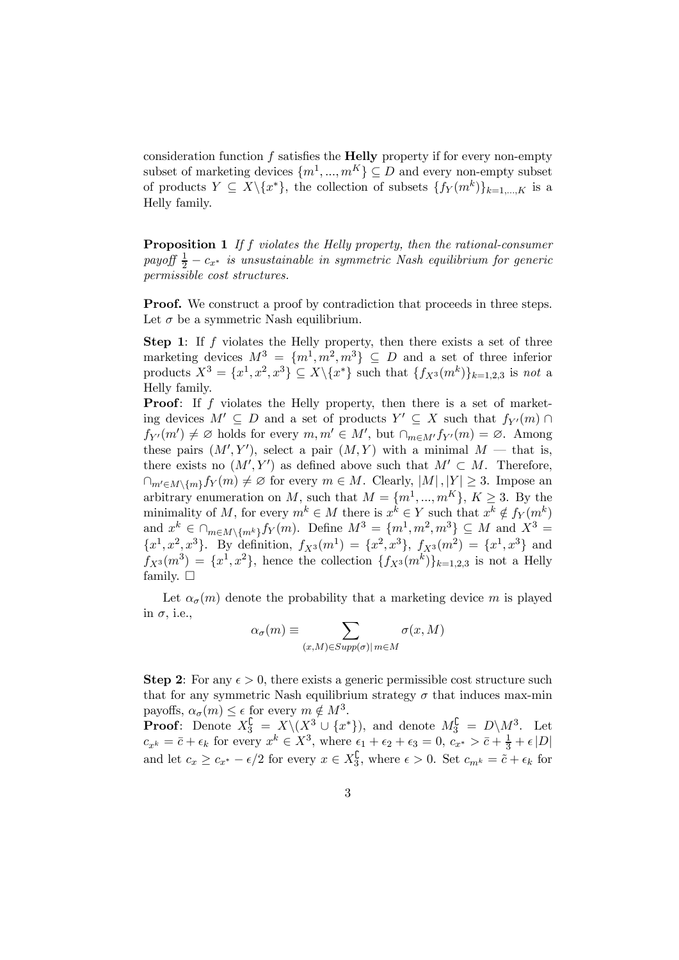consideration function  $f$  satisfies the **Helly** property if for every non-empty subset of marketing devices  $\{m^1, ..., m^K\} \subseteq D$  and every non-empty subset of products  $Y \subseteq X \setminus \{x^*\}$ , the collection of subsets  $\{f_Y(m^k)\}_{k=1,\dots,K}$  is a Helly family.

**Proposition 1** If f violates the Helly property, then the rational-consumer payoff  $\frac{1}{2} - c_{x^*}$  is unsustainable in symmetric Nash equilibrium for generic permissible cost structures.

**Proof.** We construct a proof by contradiction that proceeds in three steps. Let  $\sigma$  be a symmetric Nash equilibrium.

Step 1: If f violates the Helly property, then there exists a set of three marketing devices  $M^3 = \{m^1, m^2, m^3\} \subseteq D$  and a set of three inferior products  $X^3 = \{x^1, x^2, x^3\} \subseteq X \setminus \{x^*\}$  such that  $\{f_{X^3}(m^k)\}_{k=1,2,3}$  is not a Helly family.

Proof: If f violates the Helly property, then there is a set of marketing devices  $M' \subseteq D$  and a set of products  $Y' \subseteq X$  such that  $f_{Y'}(m) \cap$  $f_{Y'}(m') \neq \emptyset$  holds for every  $m, m' \in M'$ , but  $\cap_{m \in M'} f_{Y'}(m) = \emptyset$ . Among these pairs  $(M', Y')$ , select a pair  $(M, Y)$  with a minimal  $M$  – that is, there exists no  $(M', Y')$  as defined above such that  $M' \subset M$ . Therefore,  $\bigcap_{m'\in M\setminus\{m\}}f_Y(m)\neq\emptyset$  for every  $m\in M$ . Clearly,  $|M|,|Y|\geq 3$ . Impose an arbitrary enumeration on M, such that  $M = \{m^1, ..., m^K\}, K \geq 3$ . By the minimality of M, for every  $m^k \in M$  there is  $x^k \in Y$  such that  $x^k \notin f_Y(m^k)$ and  $x^k \in \bigcap_{m \in M \setminus \{m^k\}} f_Y(m)$ . Define  $M^3 = \{m^1, m^2, m^3\} \subseteq M$  and  $X^3 =$  ${x}^1, {x}^2, {x}^3$ . By definition,  $f_{X^3}(m^1) = {x}^2, {x}^3$ ,  $f_{X^3}(m^2) = {x}^1, {x}^3$  and  $f_{X^3}(m^3) = \{x^1, x^2\}$ , hence the collection  $\{f_{X^3}(m^k)\}_{k=1,2,3}$  is not a Helly family.  $\square$ 

Let  $\alpha_{\sigma}(m)$  denote the probability that a marketing device m is played in  $\sigma$ , i.e.,

$$
\alpha_{\sigma}(m) \equiv \sum_{(x,M) \in Supp(\sigma) | m \in M} \sigma(x,M)
$$

**Step 2:** For any  $\epsilon > 0$ , there exists a generic permissible cost structure such that for any symmetric Nash equilibrium strategy  $\sigma$  that induces max-min payoffs,  $\alpha_{\sigma}(m) \leq \epsilon$  for every  $m \notin M^3$ .

**Proof:** Denote  $X_3^{\complement} = X \setminus (X^3 \cup \{x^*\})$ , and denote  $M_3^{\complement} = D \setminus M^3$ . Let  $c_{x^k} = \bar{c} + \epsilon_k$  for every  $x^k \in X^3$ , where  $\epsilon_1 + \epsilon_2 + \epsilon_3 = 0$ ,  $c_{x^*} > \bar{c} + \frac{1}{3} + \epsilon |D|$ and let  $c_x \geq c_{x^*} - \epsilon/2$  for every  $x \in X_3^{\mathsf{C}}$ , where  $\epsilon > 0$ . Set  $c_{m^k} = \tilde{c} + \epsilon_k$  for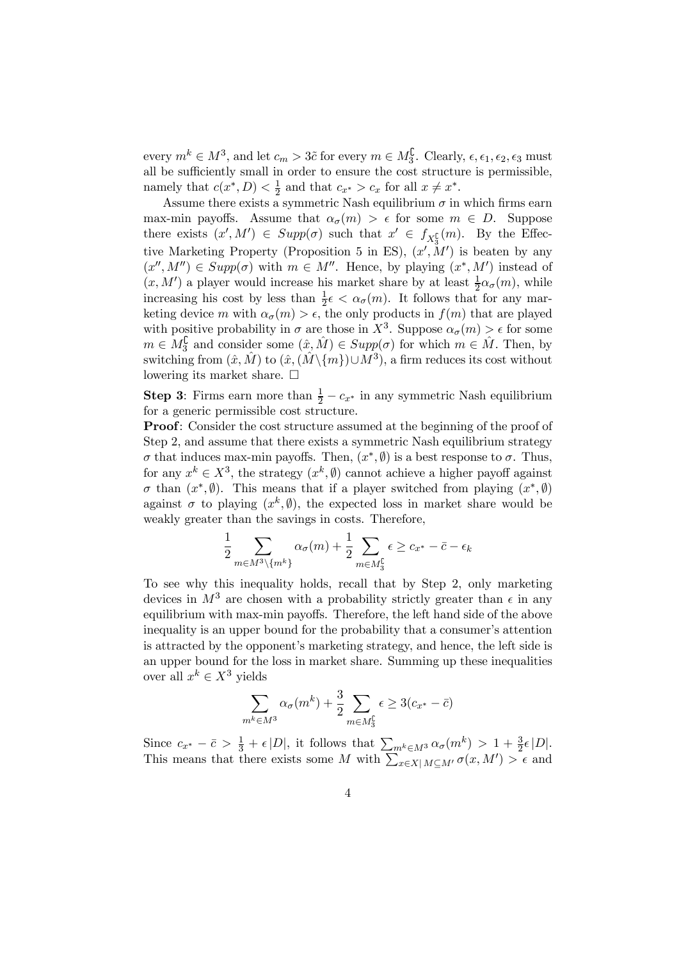every  $m^k \in M^3$ , and let  $c_m > 3\tilde{c}$  for every  $m \in M_3^{\complement}$ . Clearly,  $\epsilon, \epsilon_1, \epsilon_2, \epsilon_3$  must all be sufficiently small in order to ensure the cost structure is permissible, namely that  $c(x^*, D) < \frac{1}{2}$  and that  $c_{x^*} > c_x$  for all  $x \neq x^*$ .

Assume there exists a symmetric Nash equilibrium  $\sigma$  in which firms earn max-min payoffs. Assume that  $\alpha_{\sigma}(m) > \epsilon$  for some  $m \in D$ . Suppose there exists  $(x', M') \in Supp(\sigma)$  such that  $x' \in f_{X_3^{\complement}}(m)$ . By the Effective Marketing Property (Proposition 5 in ES),  $(x', M')$  is beaten by any  $(x'', M'') \in Supp(\sigma)$  with  $m \in M''$ . Hence, by playing  $(x^*, M')$  instead of  $(x, M')$  a player would increase his market share by at least  $\frac{1}{2}\alpha_{\sigma}(m)$ , while increasing his cost by less than  $\frac{1}{2}\epsilon < \alpha_{\sigma}(m)$ . It follows that for any marketing device m with  $\alpha_{\sigma}(m) > \epsilon$ , the only products in  $f(m)$  that are played with positive probability in  $\sigma$  are those in  $X^3$ . Suppose  $\alpha_{\sigma}(m) > \epsilon$  for some  $m \in M_3^{\complement}$  and consider some  $(\hat{x}, \hat{M}) \in Supp(\sigma)$  for which  $m \in \hat{M}$ . Then, by switching from  $(\hat{x}, \hat{M})$  to  $(\hat{x}, (\hat{M}\setminus\{m\})\cup M^3)$ , a firm reduces its cost without lowering its market share.  $\Box$ 

**Step 3:** Firms earn more than  $\frac{1}{2} - c_x*$  in any symmetric Nash equilibrium for a generic permissible cost structure.

Proof: Consider the cost structure assumed at the beginning of the proof of Step 2, and assume that there exists a symmetric Nash equilibrium strategy σ that induces max-min payoffs. Then, (x∗, ∅) is a best response to σ. Thus, for any  $x^k \in X^3$ , the strategy  $(x^k, \emptyset)$  cannot achieve a higher payoff against σ than  $(x^*, \emptyset)$ . This means that if a player switched from playing  $(x^*, \emptyset)$ against  $\sigma$  to playing  $(x^k, \emptyset)$ , the expected loss in market share would be weakly greater than the savings in costs. Therefore,

$$
\frac{1}{2} \sum_{m \in M^3 \setminus \{m^k\}} \alpha_{\sigma}(m) + \frac{1}{2} \sum_{m \in M_3^{\complement}} \epsilon \ge c_{x^*} - \bar{c} - \epsilon_k
$$

To see why this inequality holds, recall that by Step 2, only marketing devices in  $M^3$  are chosen with a probability strictly greater than  $\epsilon$  in any equilibrium with max-min payoffs. Therefore, the left hand side of the above inequality is an upper bound for the probability that a consumer's attention is attracted by the opponent's marketing strategy, and hence, the left side is an upper bound for the loss in market share. Summing up these inequalities over all  $x^k \in X^3$  yields

$$
\sum_{m^k \in M^3} \alpha_{\sigma}(m^k) + \frac{3}{2} \sum_{m \in M_3^{\complement}} \epsilon \ge 3(c_{x^*} - \bar{c})
$$

Since  $c_{x^*} - \bar{c} > \frac{1}{3} + \epsilon |D|$ , it follows that  $\sum_{m^k \in M^3} \alpha_{\sigma}(m^k) > 1 + \frac{3}{2} \epsilon |D|$ . This means that there exists some M with  $\sum_{x \in X} |M \subseteq M' \sigma(x, M')| > \epsilon$  and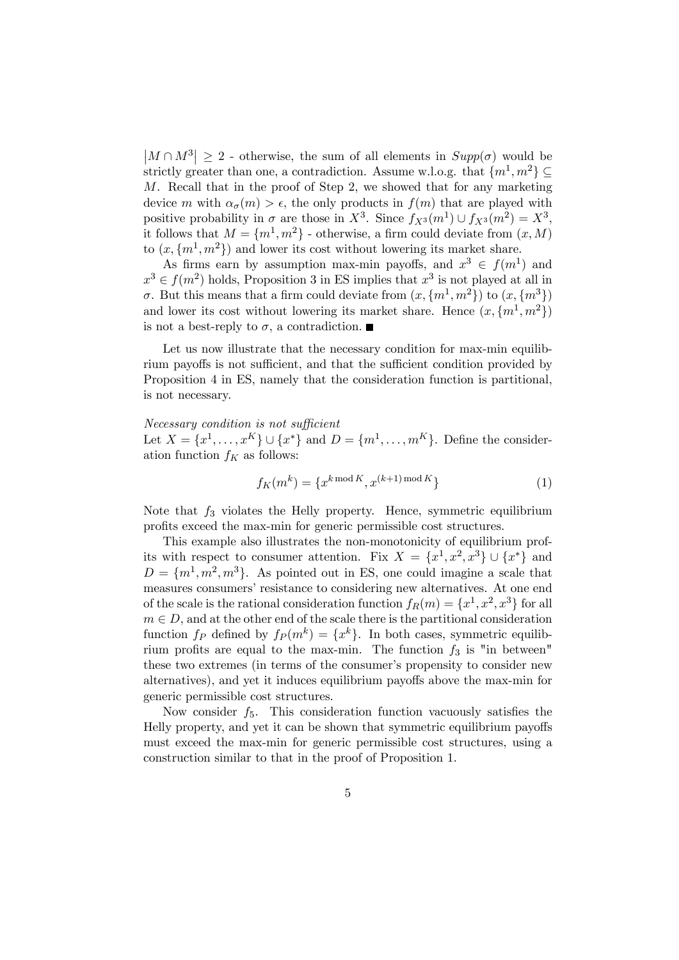$|M \cap M^3| \geq 2$  - otherwise, the sum of all elements in  $Supp(\sigma)$  would be strictly greater than one, a contradiction. Assume w.l.o.g. that  $\{m^1, m^2\} \subset$ M. Recall that in the proof of Step 2, we showed that for any marketing device m with  $\alpha_{\sigma}(m) > \epsilon$ , the only products in  $f(m)$  that are played with positive probability in  $\sigma$  are those in  $X^3$ . Since  $f_{X^3}(m^1) \cup f_{X^3}(m^2) = X^3$ , it follows that  $M = \{m^1, m^2\}$  - otherwise, a firm could deviate from  $(x, M)$ to  $(x, \{m^1, m^2\})$  and lower its cost without lowering its market share.

As firms earn by assumption max-min payoffs, and  $x^3 \in f(m^1)$  and  $x^3 \in f(m^2)$  holds, Proposition 3 in ES implies that  $x^3$  is not played at all in σ. But this means that a firm could deviate from  $(x, \{m^1, m^2\})$  to  $(x, \{m^3\})$ and lower its cost without lowering its market share. Hence  $(x, \{m^1, m^2\})$ is not a best-reply to  $\sigma$ , a contradiction.

Let us now illustrate that the necessary condition for max-min equilibrium payoffs is not sufficient, and that the sufficient condition provided by Proposition 4 in ES, namely that the consideration function is partitional, is not necessary.

#### Necessary condition is not sufficient Let  $X = \{x^1, \ldots, x^K\} \cup \{x^*\}$  and  $D = \{m^1, \ldots, m^K\}$ . Define the consideration function  $f_K$  as follows:

$$
f_K(m^k) = \{x^{k \bmod K}, x^{(k+1) \bmod K}\}\tag{1}
$$

Note that  $f_3$  violates the Helly property. Hence, symmetric equilibrium profits exceed the max-min for generic permissible cost structures.

This example also illustrates the non-monotonicity of equilibrium profits with respect to consumer attention. Fix  $X = \{x^1, x^2, x^3\} \cup \{x^*\}\$ and  $D = \{m^1, m^2, m^3\}$ . As pointed out in ES, one could imagine a scale that measures consumers' resistance to considering new alternatives. At one end of the scale is the rational consideration function  $f_R(m) = \{x^1, x^2, x^3\}$  for all  $m \in D$ , and at the other end of the scale there is the partitional consideration function  $f_P$  defined by  $f_P (m^k) = \{x^k\}$ . In both cases, symmetric equilibrium profits are equal to the max-min. The function  $f_3$  is "in between" these two extremes (in terms of the consumer's propensity to consider new alternatives), and yet it induces equilibrium payoffs above the max-min for generic permissible cost structures.

Now consider  $f_5$ . This consideration function vacuously satisfies the Helly property, and yet it can be shown that symmetric equilibrium payoffs must exceed the max-min for generic permissible cost structures, using a construction similar to that in the proof of Proposition 1.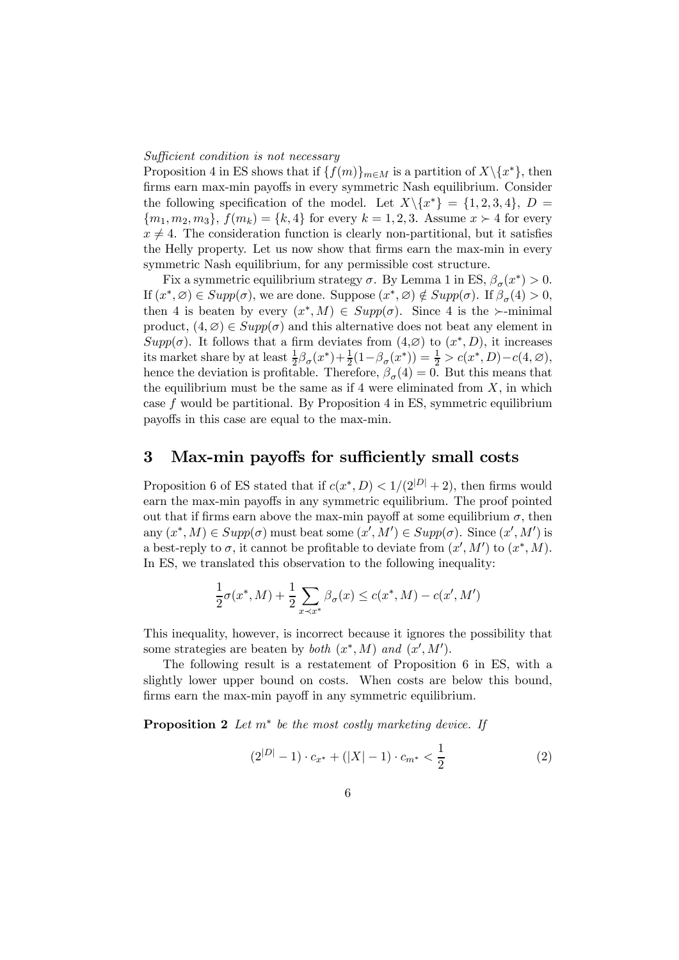#### Sufficient condition is not necessary

Proposition 4 in ES shows that if  ${f(m)}_{m\in M}$  is a partition of  $X\backslash \{x^*\}$ , then firms earn max-min payoffs in every symmetric Nash equilibrium. Consider the following specification of the model. Let  $X\backslash\{x^*\} = \{1,2,3,4\}, D =$  ${m_1, m_2, m_3}, f(m_k) = {k, 4}$  for every  $k = 1, 2, 3$ . Assume  $x > 4$  for every  $x \neq 4$ . The consideration function is clearly non-partitional, but it satisfies the Helly property. Let us now show that firms earn the max-min in every symmetric Nash equilibrium, for any permissible cost structure.

Fix a symmetric equilibrium strategy  $\sigma$ . By Lemma 1 in ES,  $\beta_{\sigma}(x^*) > 0$ . If  $(x^*, \varnothing) \in Supp(\sigma)$ , we are done. Suppose  $(x^*, \varnothing) \notin Supp(\sigma)$ . If  $\beta_{\sigma}(4) > 0$ , then 4 is beaten by every  $(x^*, M) \in Supp(\sigma)$ . Since 4 is the  $\succ$ -minimal product,  $(4, \varnothing) \in Supp(\sigma)$  and this alternative does not beat any element in  $Supp(\sigma)$ . It follows that a firm deviates from  $(4,\varnothing)$  to  $(x^*,D)$ , it increases its market share by at least  $\frac{1}{2}\beta_{\sigma}(x^*)+\frac{1}{2}(1-\beta_{\sigma}(x^*))=\frac{1}{2}>c(x^*,D)-c(4,\varnothing),$ hence the deviation is profitable. Therefore,  $\beta_{\sigma}(4) = 0$ . But this means that the equilibrium must be the same as if 4 were eliminated from  $X$ , in which case  $f$  would be partitional. By Proposition 4 in ES, symmetric equilibrium payoffs in this case are equal to the max-min.

#### 3 Max-min payoffs for sufficiently small costs

Proposition 6 of ES stated that if  $c(x^*, D) < 1/(2^{|D|} + 2)$ , then firms would earn the max-min payoffs in any symmetric equilibrium. The proof pointed out that if firms earn above the max-min payoff at some equilibrium  $\sigma$ , then any  $(x^*, M) \in Supp(\sigma)$  must beat some  $(x', M') \in Supp(\sigma)$ . Since  $(x', M')$  is a best-reply to  $\sigma$ , it cannot be profitable to deviate from  $(x', M')$  to  $(x^*, M)$ . In ES, we translated this observation to the following inequality:

$$
\frac{1}{2}\sigma(x^*, M) + \frac{1}{2} \sum_{x \prec x^*} \beta_{\sigma}(x) \le c(x^*, M) - c(x', M')
$$

This inequality, however, is incorrect because it ignores the possibility that some strategies are beaten by *both*  $(x^*, M)$  and  $(x', M')$ .

The following result is a restatement of Proposition 6 in ES, with a slightly lower upper bound on costs. When costs are below this bound, firms earn the max-min payoff in any symmetric equilibrium.

**Proposition 2** Let  $m^*$  be the most costly marketing device. If

$$
(2^{|D|} - 1) \cdot c_{x^*} + (|X| - 1) \cdot c_{m^*} < \frac{1}{2} \tag{2}
$$